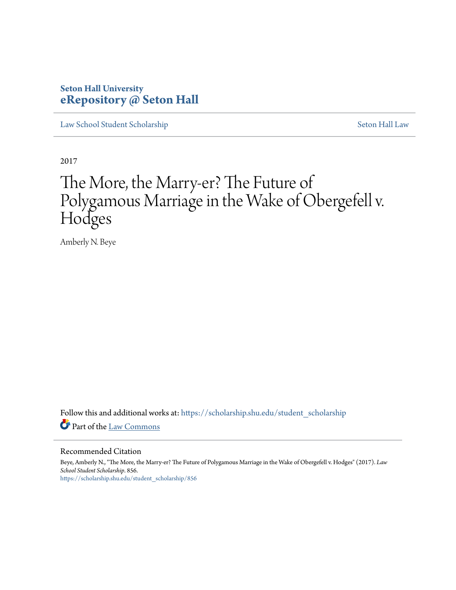# **Seton Hall University [eRepository @ Seton Hall](https://scholarship.shu.edu?utm_source=scholarship.shu.edu%2Fstudent_scholarship%2F856&utm_medium=PDF&utm_campaign=PDFCoverPages)**

[Law School Student Scholarship](https://scholarship.shu.edu/student_scholarship?utm_source=scholarship.shu.edu%2Fstudent_scholarship%2F856&utm_medium=PDF&utm_campaign=PDFCoverPages) [Seton Hall Law](https://scholarship.shu.edu/law?utm_source=scholarship.shu.edu%2Fstudent_scholarship%2F856&utm_medium=PDF&utm_campaign=PDFCoverPages)

2017

# The More, the Marry-er? The Future of Polygamous Marriage in the Wake of Obergefell v. Hodges

Amberly N. Beye

Follow this and additional works at: [https://scholarship.shu.edu/student\\_scholarship](https://scholarship.shu.edu/student_scholarship?utm_source=scholarship.shu.edu%2Fstudent_scholarship%2F856&utm_medium=PDF&utm_campaign=PDFCoverPages) Part of the [Law Commons](http://network.bepress.com/hgg/discipline/578?utm_source=scholarship.shu.edu%2Fstudent_scholarship%2F856&utm_medium=PDF&utm_campaign=PDFCoverPages)

#### Recommended Citation

Beye, Amberly N., "The More, the Marry-er? The Future of Polygamous Marriage in the Wake of Obergefell v. Hodges" (2017). *Law School Student Scholarship*. 856. [https://scholarship.shu.edu/student\\_scholarship/856](https://scholarship.shu.edu/student_scholarship/856?utm_source=scholarship.shu.edu%2Fstudent_scholarship%2F856&utm_medium=PDF&utm_campaign=PDFCoverPages)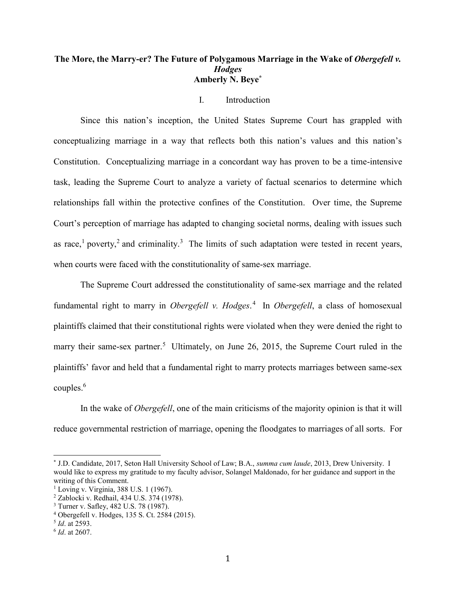# **The More, the Marry-er? The Future of Polygamous Marriage in the Wake of** *Obergefell v. Hodges* **Amberly N. Beye\***

# I. Introduction

Since this nation's inception, the United States Supreme Court has grappled with conceptualizing marriage in a way that reflects both this nation's values and this nation's Constitution. Conceptualizing marriage in a concordant way has proven to be a time-intensive task, leading the Supreme Court to analyze a variety of factual scenarios to determine which relationships fall within the protective confines of the Constitution. Over time, the Supreme Court's perception of marriage has adapted to changing societal norms, dealing with issues such as race,<sup>1</sup> poverty,<sup>2</sup> and criminality.<sup>3</sup> The limits of such adaptation were tested in recent years, when courts were faced with the constitutionality of same-sex marriage.

The Supreme Court addressed the constitutionality of same-sex marriage and the related fundamental right to marry in *Obergefell v. Hodges*. 4 In *Obergefell*, a class of homosexual plaintiffs claimed that their constitutional rights were violated when they were denied the right to marry their same-sex partner.<sup>5</sup> Ultimately, on June 26, 2015, the Supreme Court ruled in the plaintiffs' favor and held that a fundamental right to marry protects marriages between same-sex couples. $6$ 

In the wake of *Obergefell*, one of the main criticisms of the majority opinion is that it will reduce governmental restriction of marriage, opening the floodgates to marriages of all sorts. For

<sup>\*</sup> J.D. Candidate, 2017, Seton Hall University School of Law; B.A., *summa cum laude*, 2013, Drew University. I would like to express my gratitude to my faculty advisor, Solangel Maldonado, for her guidance and support in the writing of this Comment.

<sup>1</sup> Loving v. Virginia, 388 U.S. 1 (1967).

<sup>2</sup> Zablocki v. Redhail, 434 U.S. 374 (1978).

<sup>3</sup> Turner v. Safley, 482 U.S. 78 (1987).

<sup>4</sup> Obergefell v. Hodges, 135 S. Ct. 2584 (2015).

<sup>5</sup> *Id*. at 2593.

<sup>6</sup> *Id*. at 2607.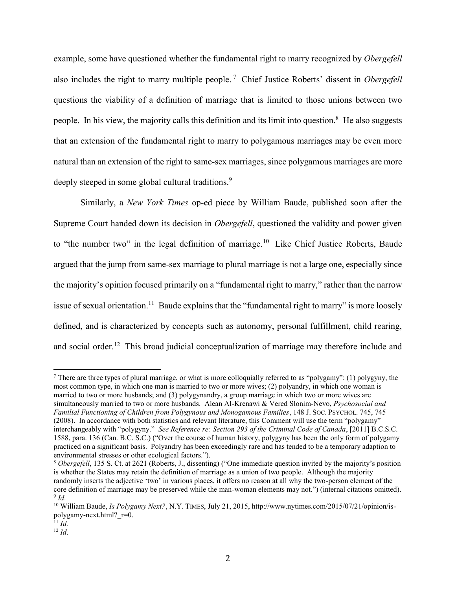<span id="page-2-0"></span>example, some have questioned whether the fundamental right to marry recognized by *Obergefell* also includes the right to marry multiple people. <sup>7</sup> Chief Justice Roberts' dissent in *Obergefell* questions the viability of a definition of marriage that is limited to those unions between two people. In his view, the majority calls this definition and its limit into question.<sup>8</sup> He also suggests that an extension of the fundamental right to marry to polygamous marriages may be even more natural than an extension of the right to same-sex marriages, since polygamous marriages are more deeply steeped in some global cultural traditions.<sup>9</sup>

Similarly, a *New York Times* op-ed piece by William Baude, published soon after the Supreme Court handed down its decision in *Obergefell*, questioned the validity and power given to "the number two" in the legal definition of marriage.<sup>10</sup> Like Chief Justice Roberts, Baude argued that the jump from same-sex marriage to plural marriage is not a large one, especially since the majority's opinion focused primarily on a "fundamental right to marry," rather than the narrow issue of sexual orientation.<sup>11</sup> Baude explains that the "fundamental right to marry" is more loosely defined, and is characterized by concepts such as autonomy, personal fulfillment, child rearing, and social order.<sup>12</sup> This broad judicial conceptualization of marriage may therefore include and

<sup>&</sup>lt;sup>7</sup> There are three types of plural marriage, or what is more colloquially referred to as "polygamy": (1) polygyny, the most common type, in which one man is married to two or more wives; (2) polyandry, in which one woman is married to two or more husbands; and (3) polygynandry, a group marriage in which two or more wives are simultaneously married to two or more husbands. Alean Al-Krenawi & Vered Slonim-Nevo, *Psychosocial and Familial Functioning of Children from Polygynous and Monogamous Families*, 148 J. SOC. PSYCHOL. 745, 745 (2008). In accordance with both statistics and relevant literature, this Comment will use the term "polygamy" interchangeably with "polygyny." *See Reference re: Section 293 of the Criminal Code of Canada*, [2011] B.C.S.C. 1588, para. 136 (Can. B.C. S.C.) ("Over the course of human history, polygyny has been the only form of polygamy practiced on a significant basis. Polyandry has been exceedingly rare and has tended to be a temporary adaption to environmental stresses or other ecological factors.").

<sup>8</sup> *Obergefell*, 135 S. Ct. at 2621 (Roberts, J., dissenting) ("One immediate question invited by the majority's position is whether the States may retain the definition of marriage as a union of two people. Although the majority randomly inserts the adjective 'two' in various places, it offers no reason at all why the two-person element of the core definition of marriage may be preserved while the man-woman elements may not.") (internal citations omitted). 9 *Id*.

<sup>&</sup>lt;sup>10</sup> William Baude, *Is Polygamy Next?*, N.Y. TIMES, July 21, 2015, http://www.nytimes.com/2015/07/21/opinion/ispolygamy-next.html?\_r=0.

 $^{11}$  *Id.* 

 $12$  *Id.*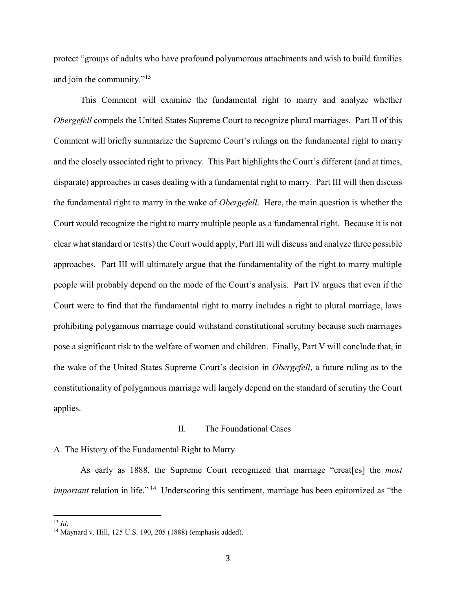protect "groups of adults who have profound polyamorous attachments and wish to build families and join the community."<sup>13</sup>

This Comment will examine the fundamental right to marry and analyze whether *Obergefell* compels the United States Supreme Court to recognize plural marriages. Part II of this Comment will briefly summarize the Supreme Court's rulings on the fundamental right to marry and the closely associated right to privacy. This Part highlights the Court's different (and at times, disparate) approaches in cases dealing with a fundamental right to marry. Part III will then discuss the fundamental right to marry in the wake of *Obergefell*. Here, the main question is whether the Court would recognize the right to marry multiple people as a fundamental right. Because it is not clear what standard or test(s) the Court would apply, Part III will discuss and analyze three possible approaches. Part III will ultimately argue that the fundamentality of the right to marry multiple people will probably depend on the mode of the Court's analysis. Part IV argues that even if the Court were to find that the fundamental right to marry includes a right to plural marriage, laws prohibiting polygamous marriage could withstand constitutional scrutiny because such marriages pose a significant risk to the welfare of women and children. Finally, Part V will conclude that, in the wake of the United States Supreme Court's decision in *Obergefell*, a future ruling as to the constitutionality of polygamous marriage will largely depend on the standard of scrutiny the Court applies.

#### II. The Foundational Cases

#### A. The History of the Fundamental Right to Marry

As early as 1888, the Supreme Court recognized that marriage "creat[es] the *most important* relation in life."<sup>14</sup> Underscoring this sentiment, marriage has been epitomized as "the

<sup>13</sup> *Id*.

l

<sup>14</sup> Maynard v. Hill, 125 U.S. 190, 205 (1888) (emphasis added).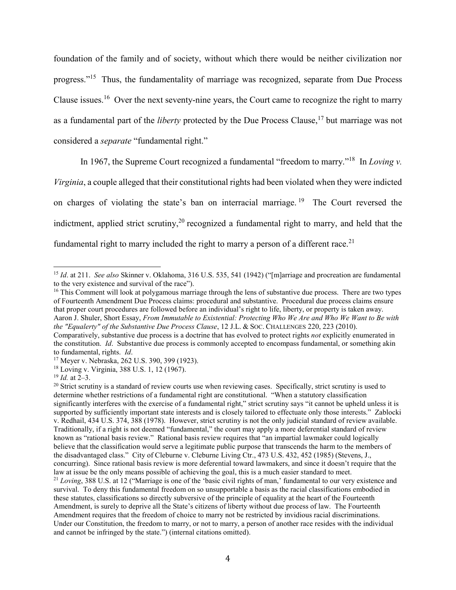foundation of the family and of society, without which there would be neither civilization nor progress."<sup>15</sup> Thus, the fundamentality of marriage was recognized, separate from Due Process Clause issues.<sup>16</sup> Over the next seventy-nine years, the Court came to recognize the right to marry as a fundamental part of the *liberty* protected by the Due Process Clause, <sup>17</sup> but marriage was not considered a *separate* "fundamental right."

<span id="page-4-0"></span>In 1967, the Supreme Court recognized a fundamental "freedom to marry." 18 In *Loving v.* 

*Virginia*, a couple alleged that their constitutional rights had been violated when they were indicted on charges of violating the state's ban on interracial marriage.<sup>19</sup> The Court reversed the indictment, applied strict scrutiny,  $20$  recognized a fundamental right to marry, and held that the fundamental right to marry included the right to marry a person of a different race.<sup>21</sup>

<sup>16</sup> This Comment will look at polygamous marriage through the lens of substantive due process. There are two types of Fourteenth Amendment Due Process claims: procedural and substantive. Procedural due process claims ensure that proper court procedures are followed before an individual's right to life, liberty, or property is taken away. Aaron J. Shuler, Short Essay, *From Immutable to Existential: Protecting Who We Are and Who We Want to Be with the "Equalerty" of the Substantive Due Process Clause*, 12 J.L. & SOC. CHALLENGES 220, 223 (2010).

 $\overline{a}$ 

Under our Constitution, the freedom to marry, or not to marry, a person of another race resides with the individual and cannot be infringed by the state.") (internal citations omitted).

<sup>15</sup> *Id*. at 211. *See also* Skinner v. Oklahoma, 316 U.S. 535, 541 (1942) ("[m]arriage and procreation are fundamental to the very existence and survival of the race").

Comparatively, substantive due process is a doctrine that has evolved to protect rights *not* explicitly enumerated in the constitution. *Id*. Substantive due process is commonly accepted to encompass fundamental, or something akin to fundamental, rights. *Id*.

<sup>17</sup> Meyer v. Nebraska, 262 U.S. 390, 399 (1923).

<sup>18</sup> Loving v. Virginia, 388 U.S. 1, 12 (1967).

<sup>19</sup> *Id.* at 2–3.

<sup>&</sup>lt;sup>20</sup> Strict scrutiny is a standard of review courts use when reviewing cases. Specifically, strict scrutiny is used to determine whether restrictions of a fundamental right are constitutional. "When a statutory classification significantly interferes with the exercise of a fundamental right," strict scrutiny says "it cannot be upheld unless it is supported by sufficiently important state interests and is closely tailored to effectuate only those interests." Zablocki v. Redhail, 434 U.S. 374, 388 (1978). However, strict scrutiny is not the only judicial standard of review available. Traditionally, if a right is not deemed "fundamental," the court may apply a more deferential standard of review known as "rational basis review." Rational basis review requires that "an impartial lawmaker could logically believe that the classification would serve a legitimate public purpose that transcends the harm to the members of the disadvantaged class." City of Cleburne v. Cleburne Living Ctr., 473 U.S. 432, 452 (1985) (Stevens, J., concurring). Since rational basis review is more deferential toward lawmakers, and since it doesn't require that the law at issue be the only means possible of achieving the goal, this is a much easier standard to meet. <sup>21</sup> *Loving*, 388 U.S. at 12 ("Marriage is one of the 'basic civil rights of man,' fundamental to our very existence and survival. To deny this fundamental freedom on so unsupportable a basis as the racial classifications embodied in these statutes, classifications so directly subversive of the principle of equality at the heart of the Fourteenth Amendment, is surely to deprive all the State's citizens of liberty without due process of law. The Fourteenth Amendment requires that the freedom of choice to marry not be restricted by invidious racial discriminations.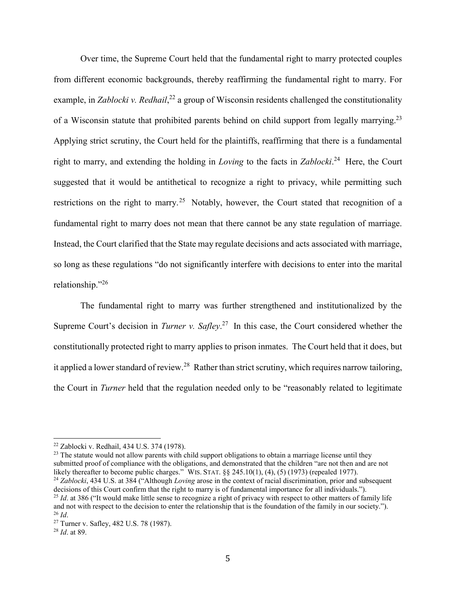Over time, the Supreme Court held that the fundamental right to marry protected couples from different economic backgrounds, thereby reaffirming the fundamental right to marry. For example, in *Zablocki v. Redhail*,<sup>22</sup> a group of Wisconsin residents challenged the constitutionality of a Wisconsin statute that prohibited parents behind on child support from legally marrying.<sup>23</sup> Applying strict scrutiny, the Court held for the plaintiffs, reaffirming that there is a fundamental right to marry, and extending the holding in *Loving* to the facts in *Zablocki*. 24 Here, the Court suggested that it would be antithetical to recognize a right to privacy, while permitting such restrictions on the right to marry.<sup>25</sup> Notably, however, the Court stated that recognition of a fundamental right to marry does not mean that there cannot be any state regulation of marriage. Instead, the Court clarified that the State may regulate decisions and acts associated with marriage, so long as these regulations "do not significantly interfere with decisions to enter into the marital relationship."<sup>26</sup>

The fundamental right to marry was further strengthened and institutionalized by the Supreme Court's decision in *Turner v. Safley*.<sup>27</sup> In this case, the Court considered whether the constitutionally protected right to marry applies to prison inmates. The Court held that it does, but it applied a lower standard of review.<sup>28</sup> Rather than strict scrutiny, which requires narrow tailoring, the Court in *Turner* held that the regulation needed only to be "reasonably related to legitimate

<sup>23</sup> The statute would not allow parents with child support obligations to obtain a marriage license until they submitted proof of compliance with the obligations, and demonstrated that the children "are not then and are not likely thereafter to become public charges." WIS. STAT. §§ 245.10(1), (4), (5) (1973) (repealed 1977).

l

<sup>22</sup> Zablocki v. Redhail, 434 U.S. 374 (1978).

<sup>24</sup> *Zablocki*, 434 U.S. at 384 ("Although *Loving* arose in the context of racial discrimination, prior and subsequent decisions of this Court confirm that the right to marry is of fundamental importance for all individuals."). <sup>25</sup> *Id.* at 386 ("It would make little sense to recognize a right of privacy with respect to other matters of family life and not with respect to the decision to enter the relationship that is the foundation of the family in our society."). <sup>26</sup> *Id*.

<sup>27</sup> Turner v. Safley, 482 U.S. 78 (1987).

<sup>28</sup> *Id*. at 89.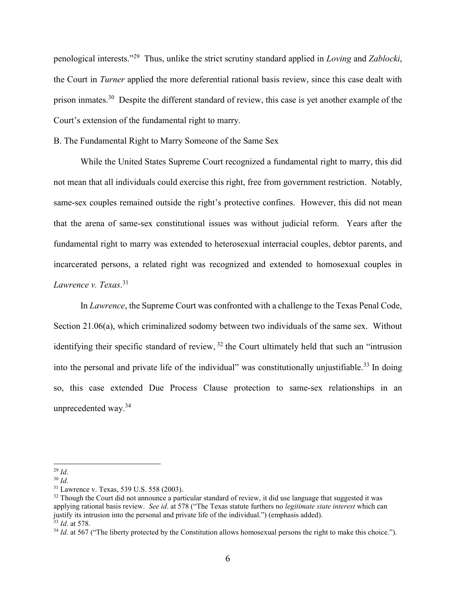penological interests."<sup>29</sup> Thus, unlike the strict scrutiny standard applied in *Loving* and *Zablocki*, the Court in *Turner* applied the more deferential rational basis review, since this case dealt with prison inmates.<sup>30</sup> Despite the different standard of review, this case is yet another example of the Court's extension of the fundamental right to marry.

B. The Fundamental Right to Marry Someone of the Same Sex

While the United States Supreme Court recognized a fundamental right to marry, this did not mean that all individuals could exercise this right, free from government restriction. Notably, same-sex couples remained outside the right's protective confines. However, this did not mean that the arena of same-sex constitutional issues was without judicial reform. Years after the fundamental right to marry was extended to heterosexual interracial couples, debtor parents, and incarcerated persons, a related right was recognized and extended to homosexual couples in *Lawrence v. Texas*. 31

In *Lawrence*, the Supreme Court was confronted with a challenge to the Texas Penal Code, Section 21.06(a), which criminalized sodomy between two individuals of the same sex. Without identifying their specific standard of review,  $32$  the Court ultimately held that such an "intrusion" into the personal and private life of the individual" was constitutionally unjustifiable.<sup>33</sup> In doing so, this case extended Due Process Clause protection to same-sex relationships in an unprecedented way.<sup>34</sup>

l <sup>29</sup> *Id*.

<sup>30</sup> *Id*.

<sup>31</sup> Lawrence v. Texas, 539 U.S. 558 (2003).

<sup>&</sup>lt;sup>32</sup> Though the Court did not announce a particular standard of review, it did use language that suggested it was applying rational basis review. *See id*. at 578 ("The Texas statute furthers no *legitimate state interest* which can justify its intrusion into the personal and private life of the individual.") (emphasis added). <sup>33</sup> *Id*. at 578.

<sup>&</sup>lt;sup>34</sup> *Id.* at 567 ("The liberty protected by the Constitution allows homosexual persons the right to make this choice.").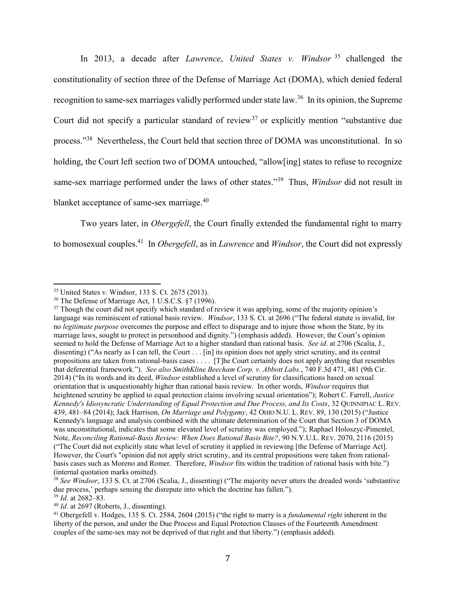In 2013, a decade after *Lawrence*, *United States v. Windsor* <sup>35</sup> challenged the constitutionality of section three of the Defense of Marriage Act (DOMA), which denied federal recognition to same-sex marriages validly performed under state law.<sup>36</sup> In its opinion, the Supreme Court did not specify a particular standard of review<sup>37</sup> or explicitly mention "substantive due process."<sup>38</sup> Nevertheless, the Court held that section three of DOMA was unconstitutional. In so holding, the Court left section two of DOMA untouched, "allow[ing] states to refuse to recognize same-sex marriage performed under the laws of other states." 39 Thus, *Windsor* did not result in blanket acceptance of same-sex marriage.<sup>40</sup>

Two years later, in *Obergefell*, the Court finally extended the fundamental right to marry to homosexual couples. 41 In *Obergefell*, as in *Lawrence* and *Windsor*, the Court did not expressly

<sup>40</sup> *Id*. at 2697 (Roberts, J., dissenting).

l <sup>35</sup> United States v. Windsor, 133 S. Ct. 2675 (2013).

<sup>36</sup> The Defense of Marriage Act, 1 U.S.C.S. §7 (1996).

<sup>&</sup>lt;sup>37</sup> Though the court did not specify which standard of review it was applying, some of the majority opinion's language was reminiscent of rational basis review. *Windsor*, 133 S. Ct. at 2696 ("The federal statute is invalid, for no *legitimate purpose* overcomes the purpose and effect to disparage and to injure those whom the State, by its marriage laws, sought to protect in personhood and dignity.") (emphasis added). However, the Court's opinion seemed to hold the Defense of Marriage Act to a higher standard than rational basis. *See id*. at 2706 (Scalia, J., dissenting) ("As nearly as I can tell, the Court . . . [in] its opinion does not apply strict scrutiny, and its central propositions are taken from rational-basis cases . . . . [T]he Court certainly does not apply anything that resembles that deferential framework."). *See also SmithKline Beecham Corp. v. Abbott Labs.*, 740 F.3d 471, 481 (9th Cir. 2014) ("In its words and its deed, *Windsor* established a level of scrutiny for classifications based on sexual orientation that is unquestionably higher than rational basis review. In other words, *Windsor* requires that heightened scrutiny be applied to equal protection claims involving sexual orientation"); Robert C. Farrell, *Justice Kennedy's Idiosyncratic Understanding of Equal Protection and Due Process, and Its Costs*, 32 QUINNIPIAC L. REV. 439, 481–84 (2014); Jack Harrison, *On Marriage and Polygamy*, 42 OHIO N.U. L. REV. 89, 130 (2015) ("Justice Kennedy's language and analysis combined with the ultimate determination of the Court that Section 3 of DOMA was unconstitutional, indicates that some elevated level of scrutiny was employed."); Raphael Holoszyc-Pimentel, Note, *Reconciling Rational-Basis Review: When Does Rational Basis Bite?*, 90 N.Y.U.L. REV. 2070, 2116 (2015) ("The Court did not explicitly state what level of scrutiny it applied in reviewing [the Defense of Marriage Act]. However, the Court's "opinion did not apply strict scrutiny, and its central propositions were taken from rationalbasis cases such as Moreno and Romer. Therefore, *Windsor* fits within the tradition of rational basis with bite.") (internal quotation marks omitted).

<sup>&</sup>lt;sup>38</sup> See *Windsor*, 133 S. Ct. at 2706 (Scalia, J., dissenting) ("The majority never utters the dreaded words 'substantive due process,' perhaps sensing the disrepute into which the doctrine has fallen.").

<sup>39</sup> *Id*. at 2682–83.

<sup>41</sup> Obergefell v. Hodges, 135 S. Ct. 2584, 2604 (2015) ("the right to marry is a *fundamental right* inherent in the liberty of the person, and under the Due Process and Equal Protection Clauses of the Fourteenth Amendment couples of the same-sex may not be deprived of that right and that liberty.") (emphasis added).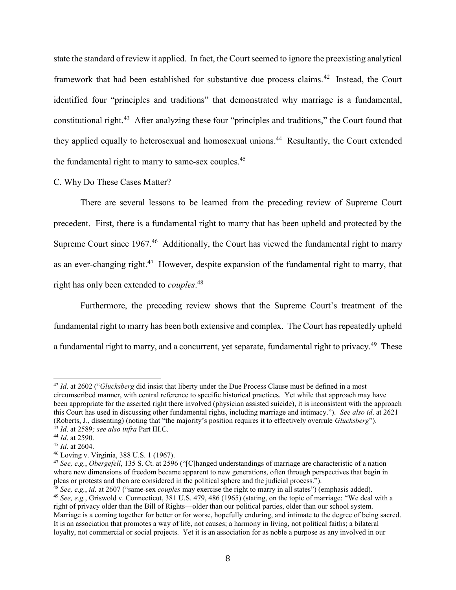state the standard of review it applied. In fact, the Court seemed to ignore the preexisting analytical framework that had been established for substantive due process claims.<sup>42</sup> Instead, the Court identified four "principles and traditions" that demonstrated why marriage is a fundamental, constitutional right.<sup>43</sup> After analyzing these four "principles and traditions," the Court found that they applied equally to heterosexual and homosexual unions. 44 Resultantly, the Court extended the fundamental right to marry to same-sex couples.<sup>45</sup>

#### C. Why Do These Cases Matter?

There are several lessons to be learned from the preceding review of Supreme Court precedent. First, there is a fundamental right to marry that has been upheld and protected by the Supreme Court since 1967.<sup>46</sup> Additionally, the Court has viewed the fundamental right to marry as an ever-changing right.<sup>47</sup> However, despite expansion of the fundamental right to marry, that right has only been extended to *couples*. 48

Furthermore, the preceding review shows that the Supreme Court's treatment of the fundamental right to marry has been both extensive and complex. The Court has repeatedly upheld a fundamental right to marry, and a concurrent, yet separate, fundamental right to privacy.<sup>49</sup> These

<sup>42</sup> *Id*. at 2602 ("*Glucksberg* did insist that liberty under the Due Process Clause must be defined in a most circumscribed manner, with central reference to specific historical practices. Yet while that approach may have been appropriate for the asserted right there involved (physician assisted suicide), it is inconsistent with the approach this Court has used in discussing other fundamental rights, including marriage and intimacy."). *See also id*. at 2621 (Roberts, J., dissenting) (noting that "the majority's position requires it to effectively overrule *Glucksberg*").

<sup>43</sup> *Id*. at 2589*; see also infra* Part III.C.

<sup>44</sup> *Id*. at 2590.

<sup>45</sup> *Id*. at 2604.

<sup>46</sup> Loving v. Virginia, 388 U.S. 1 (1967).

<sup>47</sup> *See, e.g.*, *Obergefell*, 135 S. Ct. at 2596 ("[C]hanged understandings of marriage are characteristic of a nation where new dimensions of freedom became apparent to new generations, often through perspectives that begin in pleas or protests and then are considered in the political sphere and the judicial process.").

<sup>48</sup> *See, e.g.*, *id*. at 2607 ("same-sex *couples* may exercise the right to marry in all states") (emphasis added). <sup>49</sup> *See, e.g.*, Griswold v. Connecticut, 381 U.S. 479, 486 (1965) (stating, on the topic of marriage: "We deal with a right of privacy older than the Bill of Rights—older than our political parties, older than our school system. Marriage is a coming together for better or for worse, hopefully enduring, and intimate to the degree of being sacred. It is an association that promotes a way of life, not causes; a harmony in living, not political faiths; a bilateral loyalty, not commercial or social projects. Yet it is an association for as noble a purpose as any involved in our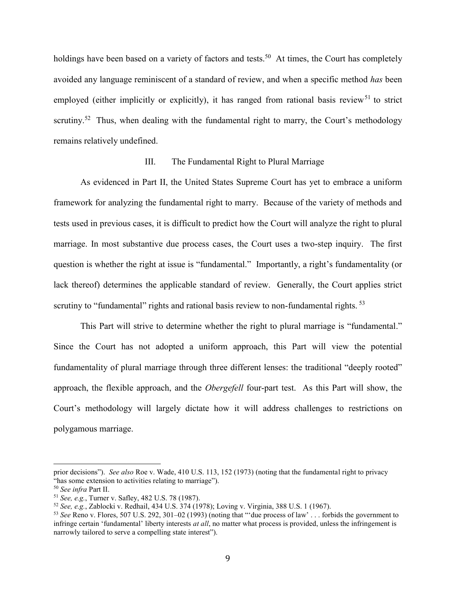holdings have been based on a variety of factors and tests.<sup>50</sup> At times, the Court has completely avoided any language reminiscent of a standard of review, and when a specific method *has* been employed (either implicitly or explicitly), it has ranged from rational basis review<sup>51</sup> to strict scrutiny.<sup>52</sup> Thus, when dealing with the fundamental right to marry, the Court's methodology remains relatively undefined.

#### III. The Fundamental Right to Plural Marriage

As evidenced in Part II, the United States Supreme Court has yet to embrace a uniform framework for analyzing the fundamental right to marry. Because of the variety of methods and tests used in previous cases, it is difficult to predict how the Court will analyze the right to plural marriage. In most substantive due process cases, the Court uses a two-step inquiry. The first question is whether the right at issue is "fundamental." Importantly, a right's fundamentality (or lack thereof) determines the applicable standard of review. Generally, the Court applies strict scrutiny to "fundamental" rights and rational basis review to non-fundamental rights. <sup>53</sup>

This Part will strive to determine whether the right to plural marriage is "fundamental." Since the Court has not adopted a uniform approach, this Part will view the potential fundamentality of plural marriage through three different lenses: the traditional "deeply rooted" approach, the flexible approach, and the *Obergefell* four-part test. As this Part will show, the Court's methodology will largely dictate how it will address challenges to restrictions on polygamous marriage.

l

prior decisions"). *See also* Roe v. Wade, 410 U.S. 113, 152 (1973) (noting that the fundamental right to privacy "has some extension to activities relating to marriage").

<sup>50</sup> *See infra* Part II.

<sup>51</sup> *See, e.g.*, Turner v. Safley, 482 U.S. 78 (1987).

<sup>52</sup> *See, e.g.*, Zablocki v. Redhail, 434 U.S. 374 (1978); Loving v. Virginia, 388 U.S. 1 (1967).

<sup>53</sup> *See* Reno v. Flores, 507 U.S. 292, 301–02 (1993) (noting that "'due process of law' . . . forbids the government to infringe certain 'fundamental' liberty interests *at all*, no matter what process is provided, unless the infringement is narrowly tailored to serve a compelling state interest").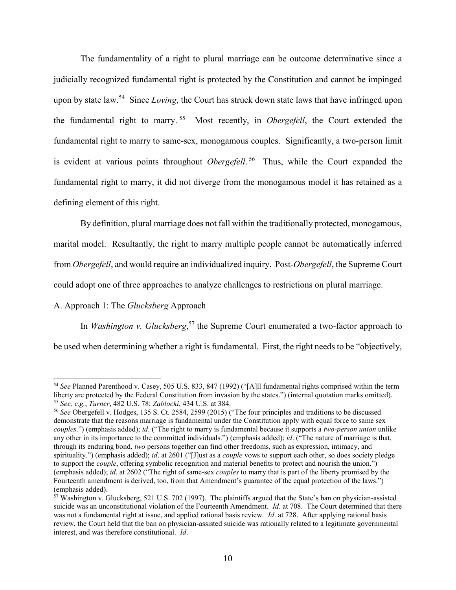The fundamentality of a right to plural marriage can be outcome determinative since a judicially recognized fundamental right is protected by the Constitution and cannot be impinged upon by state law. 54 Since *Loving*, the Court has struck down state laws that have infringed upon the fundamental right to marry. <sup>55</sup> Most recently, in *Obergefell*, the Court extended the fundamental right to marry to same-sex, monogamous couples. Significantly, a two-person limit is evident at various points throughout *Obergefell*. 56 Thus, while the Court expanded the fundamental right to marry, it did not diverge from the monogamous model it has retained as a defining element of this right.

By definition, plural marriage does not fall within the traditionally protected, monogamous, marital model. Resultantly, the right to marry multiple people cannot be automatically inferred from *Obergefell*, and would require an individualized inquiry. Post-*Obergefell*, the Supreme Court could adopt one of three approaches to analyze challenges to restrictions on plural marriage.

# A. Approach 1: The *Glucksberg* Approach

 $\overline{a}$ 

In *Washington v. Glucksberg*,<sup>57</sup> the Supreme Court enumerated a two-factor approach to be used when determining whether a right is fundamental. First, the right needs to be "objectively,

<sup>54</sup> *See* Planned Parenthood v. Casey, 505 U.S. 833, 847 (1992) ("[A]ll fundamental rights comprised within the term liberty are protected by the Federal Constitution from invasion by the states.") (internal quotation marks omitted). <sup>55</sup> *See, e.g.*, *Turner*, 482 U.S. 78; *Zablocki*, 434 U.S. at 384.

<sup>56</sup> *See* Obergefell v. Hodges, 135 S. Ct. 2584, 2599 (2015) ("The four principles and traditions to be discussed demonstrate that the reasons marriage is fundamental under the Constitution apply with equal force to same sex *couples*.") (emphasis added); *id*. ("The right to marry is fundamental because it supports a *two-person union* unlike any other in its importance to the committed individuals.") (emphasis added); *id*. ("The nature of marriage is that, through its enduring bond, *two* persons together can find other freedoms, such as expression, intimacy, and spirituality.") (emphasis added); *id*. at 2601 ("[J]ust as a *couple* vows to support each other, so does society pledge to support the *couple*, offering symbolic recognition and material benefits to protect and nourish the union.") (emphasis added); *id*. at 2602 ("The right of same-sex *couples* to marry that is part of the liberty promised by the Fourteenth amendment is derived, too, from that Amendment's guarantee of the equal protection of the laws.") (emphasis added).

<sup>57</sup> Washington v. Glucksberg, 521 U.S. 702 (1997). The plaintiffs argued that the State's ban on physician-assisted suicide was an unconstitutional violation of the Fourteenth Amendment. *Id*. at 708. The Court determined that there was not a fundamental right at issue, and applied rational basis review. *Id*. at 728. After applying rational basis review, the Court held that the ban on physician-assisted suicide was rationally related to a legitimate governmental interest, and was therefore constitutional. *Id*.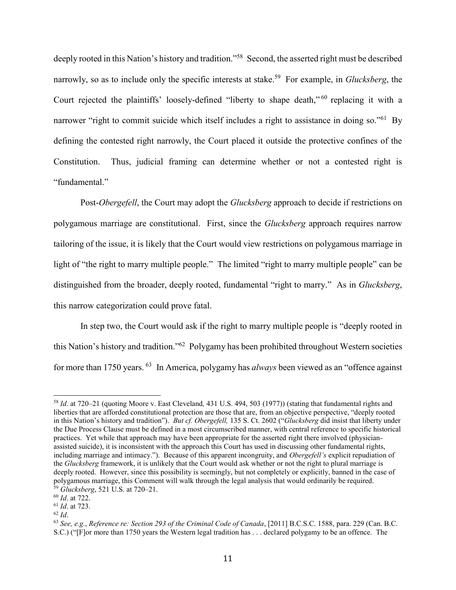deeply rooted in this Nation's history and tradition."<sup>58</sup> Second, the asserted right must be described narrowly, so as to include only the specific interests at stake. 59 For example, in *Glucksberg*, the Court rejected the plaintiffs' loosely-defined "liberty to shape death," <sup>60</sup> replacing it with a narrower "right to commit suicide which itself includes a right to assistance in doing so."<sup>61</sup> By defining the contested right narrowly, the Court placed it outside the protective confines of the Constitution. Thus, judicial framing can determine whether or not a contested right is "fundamental."

Post-*Obergefell*, the Court may adopt the *Glucksberg* approach to decide if restrictions on polygamous marriage are constitutional. First, since the *Glucksberg* approach requires narrow tailoring of the issue, it is likely that the Court would view restrictions on polygamous marriage in light of "the right to marry multiple people." The limited "right to marry multiple people" can be distinguished from the broader, deeply rooted, fundamental "right to marry." As in *Glucksberg*, this narrow categorization could prove fatal.

In step two, the Court would ask if the right to marry multiple people is "deeply rooted in this Nation's history and tradition."<sup>62</sup> Polygamy has been prohibited throughout Western societies for more than 1750 years.<sup>63</sup> In America, polygamy has *always* been viewed as an "offence against

<sup>58</sup> *Id*. at 720–21 (quoting Moore v. East Cleveland*,* 431 U.S. 494, 503 (1977)) (stating that fundamental rights and liberties that are afforded constitutional protection are those that are, from an objective perspective, "deeply rooted in this Nation's history and tradition"). *But cf. Obergefell,* 135 S. Ct. 2602 ("*Glucksberg* did insist that liberty under the Due Process Clause must be defined in a most circumscribed manner, with central reference to specific historical practices. Yet while that approach may have been appropriate for the asserted right there involved (physicianassisted suicide), it is inconsistent with the approach this Court has used in discussing other fundamental rights, including marriage and intimacy."). Because of this apparent incongruity, and *Obergefell's* explicit repudiation of the *Glucksberg* framework, it is unlikely that the Court would ask whether or not the right to plural marriage is deeply rooted. However, since this possibility is seemingly, but not completely or explicitly, banned in the case of polygamous marriage, this Comment will walk through the legal analysis that would ordinarily be required. <sup>59</sup> *Glucksberg*, 521 U.S. at 720–21.

<sup>60</sup> *Id*. at 722.

<sup>61</sup> *Id*. at 723.

<sup>62</sup> *Id*.

<sup>63</sup> *See, e.g.*, *Reference re: Section 293 of the Criminal Code of Canada*, [2011] B.C.S.C. 1588, para. 229 (Can. B.C. S.C.) ("[F]or more than 1750 years the Western legal tradition has . . . declared polygamy to be an offence. The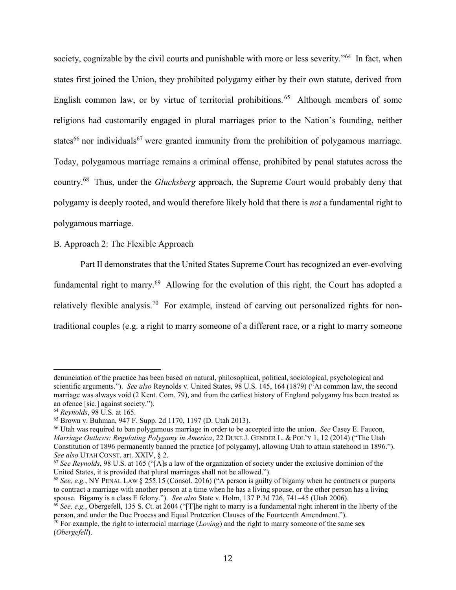society, cognizable by the civil courts and punishable with more or less severity."<sup>64</sup> In fact, when states first joined the Union, they prohibited polygamy either by their own statute, derived from English common law, or by virtue of territorial prohibitions.<sup>65</sup> Although members of some religions had customarily engaged in plural marriages prior to the Nation's founding, neither states<sup>66</sup> nor individuals<sup>67</sup> were granted immunity from the prohibition of polygamous marriage. Today, polygamous marriage remains a criminal offense, prohibited by penal statutes across the country.<sup>68</sup> Thus, under the *Glucksberg* approach, the Supreme Court would probably deny that polygamy is deeply rooted, and would therefore likely hold that there is *not* a fundamental right to polygamous marriage.

# B. Approach 2: The Flexible Approach

Part II demonstrates that the United States Supreme Court has recognized an ever-evolving fundamental right to marry.<sup>69</sup> Allowing for the evolution of this right, the Court has adopted a relatively flexible analysis.<sup>70</sup> For example, instead of carving out personalized rights for nontraditional couples (e.g. a right to marry someone of a different race, or a right to marry someone

denunciation of the practice has been based on natural, philosophical, political, sociological, psychological and scientific arguments."). *See also* Reynolds v. United States, 98 U.S. 145, 164 (1879) ("At common law, the second marriage was always void (2 Kent. Com. 79), and from the earliest history of England polygamy has been treated as an ofence [sic.] against society.").

<sup>64</sup> *Reynolds*, 98 U.S. at 165.

<sup>65</sup> Brown v. Buhman, 947 F. Supp. 2d 1170, 1197 (D. Utah 2013).

<sup>66</sup> Utah was required to ban polygamous marriage in order to be accepted into the union. *See* Casey E. Faucon, *Marriage Outlaws: Regulating Polygamy in America*, 22 DUKE J. GENDER L. & POL'Y 1, 12 (2014) ("The Utah Constitution of 1896 permanently banned the practice [of polygamy], allowing Utah to attain statehood in 1896."). *See also* UTAH CONST. art. XXIV, § 2.

<sup>67</sup> *See Reynolds*, 98 U.S. at 165 ("[A]s a law of the organization of society under the exclusive dominion of the United States, it is provided that plural marriages shall not be allowed.").

<sup>68</sup> *See, e.g.*, NY PENAL LAW § 255.15 (Consol. 2016) ("A person is guilty of bigamy when he contracts or purports to contract a marriage with another person at a time when he has a living spouse, or the other person has a living spouse. Bigamy is a class E felony."). *See also* State v. Holm, 137 P.3d 726, 741–45 (Utah 2006).

 $^{69}$  *See, e.g.*, Obergefell, 135 S. Ct. at 2604 ("[T]he right to marry is a fundamental right inherent in the liberty of the person, and under the Due Process and Equal Protection Clauses of the Fourteenth Amendment.").

<sup>70</sup> For example, the right to interracial marriage (*Loving*) and the right to marry someone of the same sex (*Obergefell*).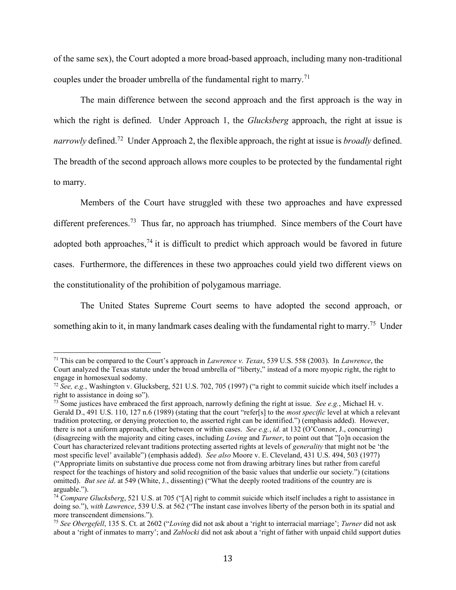of the same sex), the Court adopted a more broad-based approach, including many non-traditional couples under the broader umbrella of the fundamental right to marry.<sup>71</sup>

The main difference between the second approach and the first approach is the way in which the right is defined. Under Approach 1, the *Glucksberg* approach, the right at issue is narrowly defined.<sup>72</sup> Under Approach 2, the flexible approach, the right at issue is *broadly* defined. The breadth of the second approach allows more couples to be protected by the fundamental right to marry.

Members of the Court have struggled with these two approaches and have expressed different preferences.<sup>73</sup> Thus far, no approach has triumphed. Since members of the Court have adopted both approaches,  $74$  it is difficult to predict which approach would be favored in future cases. Furthermore, the differences in these two approaches could yield two different views on the constitutionality of the prohibition of polygamous marriage.

The United States Supreme Court seems to have adopted the second approach, or something akin to it, in many landmark cases dealing with the fundamental right to marry.<sup>75</sup> Under

<sup>71</sup> This can be compared to the Court's approach in *Lawrence v. Texas*, 539 U.S. 558 (2003). In *Lawrence*, the Court analyzed the Texas statute under the broad umbrella of "liberty," instead of a more myopic right, the right to engage in homosexual sodomy.

<sup>72</sup> *See, e.g.*, Washington v. Glucksberg, 521 U.S. 702, 705 (1997) ("a right to commit suicide which itself includes a right to assistance in doing so").

<sup>73</sup> Some justices have embraced the first approach, narrowly defining the right at issue. *See e.g.*, Michael H. v. Gerald D., 491 U.S. 110, 127 n.6 (1989) (stating that the court "refer[s] to the *most specific* level at which a relevant tradition protecting, or denying protection to, the asserted right can be identified.") (emphasis added). However, there is not a uniform approach, either between or within cases. *See e.g.*, *id*. at 132 (O'Connor, J., concurring) (disagreeing with the majority and citing cases, including *Loving* and *Turner*, to point out that "[o]n occasion the Court has characterized relevant traditions protecting asserted rights at levels of *generality* that might not be 'the most specific level' available") (emphasis added). *See also* Moore v. E. Cleveland, 431 U.S. 494, 503 (1977) ("Appropriate limits on substantive due process come not from drawing arbitrary lines but rather from careful respect for the teachings of history and solid recognition of the basic values that underlie our society.") (citations omitted). *But see id*. at 549 (White, J., dissenting) ("What the deeply rooted traditions of the country are is arguable.").

<sup>74</sup> *Compare Glucksberg*, 521 U.S. at 705 ("[A] right to commit suicide which itself includes a right to assistance in doing so."), *with Lawrence*, 539 U.S. at 562 ("The instant case involves liberty of the person both in its spatial and more transcendent dimensions.").

<sup>75</sup> *See Obergefell*, 135 S. Ct. at 2602 ("*Loving* did not ask about a 'right to interracial marriage'; *Turner* did not ask about a 'right of inmates to marry'; and *Zablocki* did not ask about a 'right of father with unpaid child support duties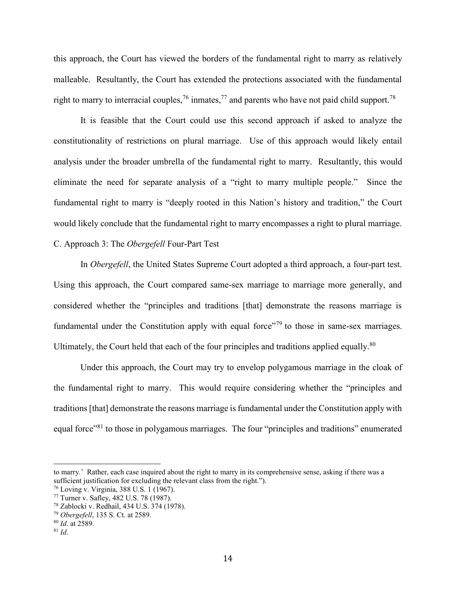this approach, the Court has viewed the borders of the fundamental right to marry as relatively malleable. Resultantly, the Court has extended the protections associated with the fundamental right to marry to interracial couples,<sup>76</sup> inmates,<sup>77</sup> and parents who have not paid child support.<sup>78</sup>

It is feasible that the Court could use this second approach if asked to analyze the constitutionality of restrictions on plural marriage. Use of this approach would likely entail analysis under the broader umbrella of the fundamental right to marry. Resultantly, this would eliminate the need for separate analysis of a "right to marry multiple people." Since the fundamental right to marry is "deeply rooted in this Nation's history and tradition," the Court would likely conclude that the fundamental right to marry encompasses a right to plural marriage. C. Approach 3: The *Obergefell* Four-Part Test

In *Obergefell*, the United States Supreme Court adopted a third approach, a four-part test. Using this approach, the Court compared same-sex marriage to marriage more generally, and considered whether the "principles and traditions [that] demonstrate the reasons marriage is fundamental under the Constitution apply with equal force<sup>779</sup> to those in same-sex marriages. Ultimately, the Court held that each of the four principles and traditions applied equally.<sup>80</sup>

Under this approach, the Court may try to envelop polygamous marriage in the cloak of the fundamental right to marry. This would require considering whether the "principles and traditions [that] demonstrate the reasons marriage is fundamental under the Constitution apply with equal force"<sup>81</sup> to those in polygamous marriages. The four "principles and traditions" enumerated

l

to marry.' Rather, each case inquired about the right to marry in its comprehensive sense, asking if there was a sufficient justification for excluding the relevant class from the right.").

<sup>76</sup> Loving v. Virginia, 388 U.S. 1 (1967).

<sup>77</sup> Turner v. Safley, 482 U.S. 78 (1987).

<sup>78</sup> Zablocki v. Redhail, 434 U.S. 374 (1978).

<sup>79</sup> *Obergefell*, 135 S. Ct. at 2589.

<sup>80</sup> *Id*. at 2589.

 $81$  *Id.*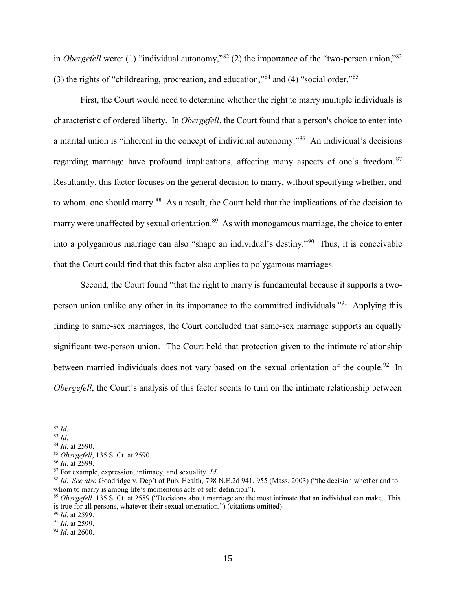in *Obergefell* were: (1) "individual autonomy,"<sup>82</sup> (2) the importance of the "two-person union,"<sup>83</sup> (3) the rights of "childrearing, procreation, and education,"<sup>84</sup> and (4) "social order."<sup>85</sup>

First, the Court would need to determine whether the right to marry multiple individuals is characteristic of ordered liberty. In *Obergefell*, the Court found that a person's choice to enter into a marital union is "inherent in the concept of individual autonomy."<sup>86</sup> An individual's decisions regarding marriage have profound implications, affecting many aspects of one's freedom. <sup>87</sup> Resultantly, this factor focuses on the general decision to marry, without specifying whether, and to whom, one should marry.<sup>88</sup> As a result, the Court held that the implications of the decision to marry were unaffected by sexual orientation.<sup>89</sup> As with monogamous marriage, the choice to enter into a polygamous marriage can also "shape an individual's destiny."<sup>90</sup> Thus, it is conceivable that the Court could find that this factor also applies to polygamous marriages.

Second, the Court found "that the right to marry is fundamental because it supports a twoperson union unlike any other in its importance to the committed individuals."<sup>91</sup> Applying this finding to same-sex marriages, the Court concluded that same-sex marriage supports an equally significant two-person union. The Court held that protection given to the intimate relationship between married individuals does not vary based on the sexual orientation of the couple.<sup>92</sup> In *Obergefell*, the Court's analysis of this factor seems to turn on the intimate relationship between

<sup>82</sup> *Id*.

<sup>83</sup> *Id*.

<sup>84</sup> *Id*. at 2590.

<sup>85</sup> *Obergefell*, 135 S. Ct. at 2590.

<sup>86</sup> *Id*. at 2599.

<sup>87</sup> For example, expression, intimacy, and sexuality. *Id*.

<sup>88</sup> *Id*. *See also* Goodridge v. Dep't of Pub. Health, 798 N.E.2d 941, 955 (Mass. 2003) ("the decision whether and to whom to marry is among life's momentous acts of self-definition").

<sup>89</sup> *Obergefell*. 135 S. Ct. at 2589 ("Decisions about marriage are the most intimate that an individual can make. This is true for all persons, whatever their sexual orientation.") (citations omitted).

<sup>90</sup> *Id*. at 2599.

<sup>91</sup> *Id*. at 2599.

<sup>92</sup> *Id*. at 2600.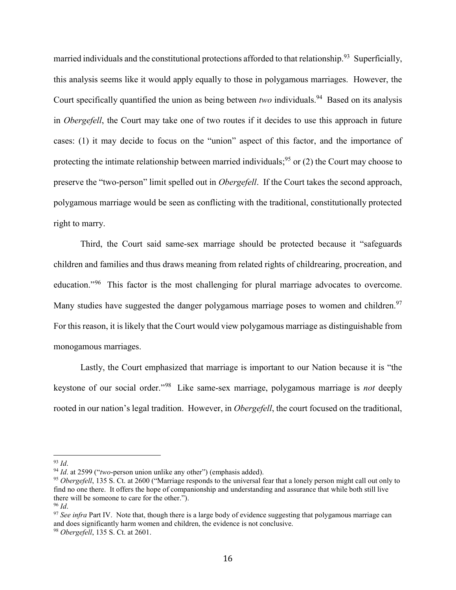married individuals and the constitutional protections afforded to that relationship.<sup>93</sup> Superficially, this analysis seems like it would apply equally to those in polygamous marriages. However, the Court specifically quantified the union as being between *two* individuals.<sup>94</sup> Based on its analysis in *Obergefell*, the Court may take one of two routes if it decides to use this approach in future cases: (1) it may decide to focus on the "union" aspect of this factor, and the importance of protecting the intimate relationship between married individuals;<sup>95</sup> or (2) the Court may choose to preserve the "two-person" limit spelled out in *Obergefell*. If the Court takes the second approach, polygamous marriage would be seen as conflicting with the traditional, constitutionally protected right to marry.

Third, the Court said same-sex marriage should be protected because it "safeguards children and families and thus draws meaning from related rights of childrearing, procreation, and education."<sup>96</sup> This factor is the most challenging for plural marriage advocates to overcome. Many studies have suggested the danger polygamous marriage poses to women and children.<sup>97</sup> For this reason, it is likely that the Court would view polygamous marriage as distinguishable from monogamous marriages.

Lastly, the Court emphasized that marriage is important to our Nation because it is "the keystone of our social order."<sup>98</sup> Like same-sex marriage, polygamous marriage is *not* deeply rooted in our nation's legal tradition. However, in *Obergefell*, the court focused on the traditional,

 $\overline{a}$ <sup>93</sup> *Id*.

<sup>94</sup> *Id*. at 2599 ("*two*-person union unlike any other") (emphasis added).

<sup>95</sup> *Obergefell*, 135 S. Ct. at 2600 ("Marriage responds to the universal fear that a lonely person might call out only to find no one there. It offers the hope of companionship and understanding and assurance that while both still live there will be someone to care for the other.").

<sup>96</sup> *Id*.

<sup>97</sup> *See infra* Part IV. Note that, though there is a large body of evidence suggesting that polygamous marriage can and does significantly harm women and children, the evidence is not conclusive.

<sup>98</sup> *Obergefell*, 135 S. Ct. at 2601.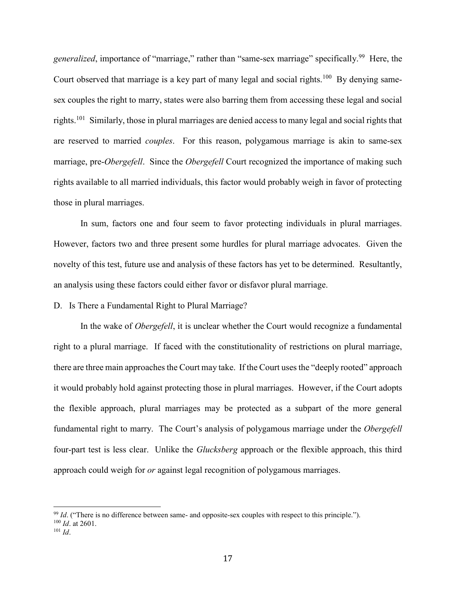generalized, importance of "marriage," rather than "same-sex marriage" specifically.<sup>99</sup> Here, the Court observed that marriage is a key part of many legal and social rights.<sup>100</sup> By denying samesex couples the right to marry, states were also barring them from accessing these legal and social rights.<sup>101</sup> Similarly, those in plural marriages are denied access to many legal and social rights that are reserved to married *couples*. For this reason, polygamous marriage is akin to same-sex marriage, pre-*Obergefell*. Since the *Obergefell* Court recognized the importance of making such rights available to all married individuals, this factor would probably weigh in favor of protecting those in plural marriages.

In sum, factors one and four seem to favor protecting individuals in plural marriages. However, factors two and three present some hurdles for plural marriage advocates. Given the novelty of this test, future use and analysis of these factors has yet to be determined. Resultantly, an analysis using these factors could either favor or disfavor plural marriage.

D. Is There a Fundamental Right to Plural Marriage?

In the wake of *Obergefell*, it is unclear whether the Court would recognize a fundamental right to a plural marriage. If faced with the constitutionality of restrictions on plural marriage, there are three main approaches the Court may take. If the Court uses the "deeply rooted" approach it would probably hold against protecting those in plural marriages. However, if the Court adopts the flexible approach, plural marriages may be protected as a subpart of the more general fundamental right to marry. The Court's analysis of polygamous marriage under the *Obergefell* four-part test is less clear. Unlike the *Glucksberg* approach or the flexible approach, this third approach could weigh for *or* against legal recognition of polygamous marriages.

<sup>&</sup>lt;sup>99</sup> *Id.* ("There is no difference between same- and opposite-sex couples with respect to this principle."). <sup>100</sup> *Id*. at 2601.

<sup>101</sup> *Id*.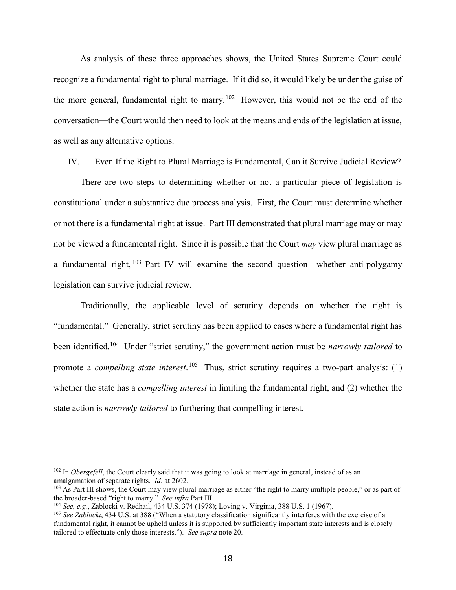As analysis of these three approaches shows, the United States Supreme Court could recognize a fundamental right to plural marriage. If it did so, it would likely be under the guise of the more general, fundamental right to marry.<sup>102</sup> However, this would not be the end of the conversation—the Court would then need to look at the means and ends of the legislation at issue, as well as any alternative options.

IV. Even If the Right to Plural Marriage is Fundamental, Can it Survive Judicial Review?

There are two steps to determining whether or not a particular piece of legislation is constitutional under a substantive due process analysis. First, the Court must determine whether or not there is a fundamental right at issue. Part III demonstrated that plural marriage may or may not be viewed a fundamental right. Since it is possible that the Court *may* view plural marriage as a fundamental right, <sup>103</sup> Part IV will examine the second question—whether anti-polygamy legislation can survive judicial review.

Traditionally, the applicable level of scrutiny depends on whether the right is "fundamental." Generally, strict scrutiny has been applied to cases where a fundamental right has been identified.<sup>104</sup> Under "strict scrutiny," the government action must be *narrowly tailored* to promote a *compelling state interest*.<sup>105</sup> Thus, strict scrutiny requires a two-part analysis: (1) whether the state has a *compelling interest* in limiting the fundamental right, and (2) whether the state action is *narrowly tailored* to furthering that compelling interest.

l

<sup>&</sup>lt;sup>102</sup> In *Obergefell*, the Court clearly said that it was going to look at marriage in general, instead of as an amalgamation of separate rights. *Id*. at 2602.

<sup>&</sup>lt;sup>103</sup> As Part III shows, the Court may view plural marriage as either "the right to marry multiple people," or as part of the broader-based "right to marry." *See infra* Part III.

<sup>104</sup> *See, e.g.*, Zablocki v. Redhail, 434 U.S. 374 (1978); Loving v. Virginia, 388 U.S. 1 (1967).

<sup>105</sup> *See Zablocki*, 434 U.S. at 388 ("When a statutory classification significantly interferes with the exercise of a fundamental right, it cannot be upheld unless it is supported by sufficiently important state interests and is closely tailored to effectuate only those interests."). *See supra* not[e 20.](#page-4-0)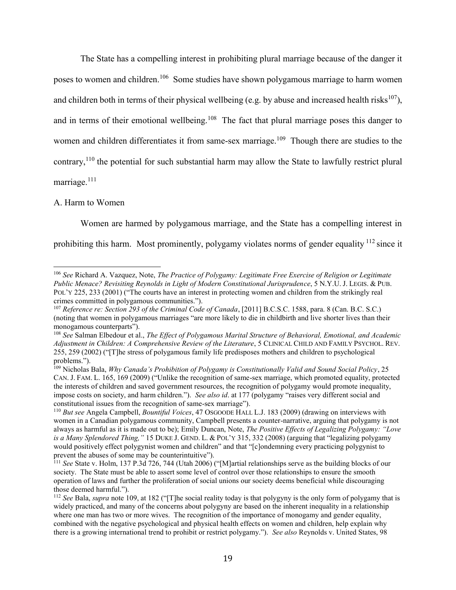<span id="page-19-1"></span>The State has a compelling interest in prohibiting plural marriage because of the danger it poses to women and children.<sup>106</sup> Some studies have shown polygamous marriage to harm women and children both in terms of their physical wellbeing (e.g. by abuse and increased health risks<sup>107</sup>), and in terms of their emotional wellbeing.<sup>108</sup> The fact that plural marriage poses this danger to women and children differentiates it from same-sex marriage.<sup>109</sup> Though there are studies to the contrary,<sup>110</sup> the potential for such substantial harm may allow the State to lawfully restrict plural marriage.<sup>111</sup>

# <span id="page-19-0"></span>A. Harm to Women

 $\overline{a}$ 

Women are harmed by polygamous marriage, and the State has a compelling interest in prohibiting this harm. Most prominently, polygamy violates norms of gender equality <sup>112</sup> since it

<sup>106</sup> *See* Richard A. Vazquez, Note, *The Practice of Polygamy: Legitimate Free Exercise of Religion or Legitimate Public Menace? Revisiting Reynolds in Light of Modern Constitutional Jurisprudence*, 5 N.Y.U. J. LEGIS. & PUB. POL'Y 225, 233 (2001) ("The courts have an interest in protecting women and children from the strikingly real crimes committed in polygamous communities.").

<sup>107</sup> *Reference re: Section 293 of the Criminal Code of Canada*, [2011] B.C.S.C. 1588, para. 8 (Can. B.C. S.C.) (noting that women in polygamous marriages "are more likely to die in childbirth and live shorter lives than their monogamous counterparts").

<sup>108</sup> *See* Salman Elbedour et al., *The Effect of Polygamous Marital Structure of Behavioral, Emotional, and Academic Adjustment in Children: A Comprehensive Review of the Literature*, 5 CLINICAL CHILD AND FAMILY PSYCHOL. REV. 255, 259 (2002) ("[T]he stress of polygamous family life predisposes mothers and children to psychological problems.").

<sup>109</sup> Nicholas Bala, *Why Canada's Prohibition of Polygamy is Constitutionally Valid and Sound Social Policy*, 25 CAN. J. FAM. L. 165, 169 (2009) ("Unlike the recognition of same-sex marriage, which promoted equality, protected the interests of children and saved government resources, the recognition of polygamy would promote inequality, impose costs on society, and harm children."). *See also id*. at 177 (polygamy "raises very different social and constitutional issues from the recognition of same-sex marriage").

<sup>110</sup> *But see* Angela Campbell, *Bountiful Voices*, 47 OSGOODE HALL L.J. 183 (2009) (drawing on interviews with women in a Canadian polygamous community, Campbell presents a counter-narrative, arguing that polygamy is not always as harmful as it is made out to be); Emily Duncan, Note, *The Positive Effects of Legalizing Polygamy: "Love is a Many Splendored Thing,"* 15 DUKE J. GEND. L. & POL'Y 315, 332 (2008) (arguing that "legalizing polygamy would positively effect polygynist women and children" and that "[c]ondemning every practicing polygynist to prevent the abuses of some may be counterintuitive").

<sup>111</sup> *See* State v. Holm, 137 P.3d 726, 744 (Utah 2006) ("[M]artial relationships serve as the building blocks of our society. The State must be able to assert some level of control over those relationships to ensure the smooth operation of laws and further the proliferation of social unions our society deems beneficial while discouraging those deemed harmful.").

<sup>112</sup> *See* Bala, *supra* note [109,](#page-19-0) at 182 ("[T]he social reality today is that polygyny is the only form of polygamy that is widely practiced, and many of the concerns about polygyny are based on the inherent inequality in a relationship where one man has two or more wives. The recognition of the importance of monogamy and gender equality, combined with the negative psychological and physical health effects on women and children, help explain why there is a growing international trend to prohibit or restrict polygamy."). *See also* Reynolds v. United States, 98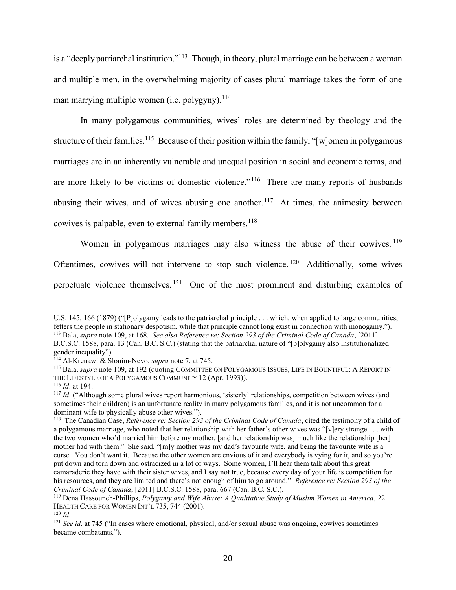is a "deeply patriarchal institution."<sup>113</sup> Though, in theory, plural marriage can be between a woman and multiple men, in the overwhelming majority of cases plural marriage takes the form of one man marrying multiple women (i.e. polygyny).  $114$ 

In many polygamous communities, wives' roles are determined by theology and the structure of their families.<sup>115</sup> Because of their position within the family, "[w]omen in polygamous marriages are in an inherently vulnerable and unequal position in social and economic terms, and are more likely to be victims of domestic violence."<sup>116</sup> There are many reports of husbands abusing their wives, and of wives abusing one another.<sup>117</sup> At times, the animosity between cowives is palpable, even to external family members. 118

Women in polygamous marriages may also witness the abuse of their cowives.<sup>119</sup> Oftentimes, cowives will not intervene to stop such violence.<sup>120</sup> Additionally, some wives perpetuate violence themselves.<sup>121</sup> One of the most prominent and disturbing examples of

U.S. 145, 166 (1879) ("[P]olygamy leads to the patriarchal principle . . . which, when applied to large communities, fetters the people in stationary despotism, while that principle cannot long exist in connection with monogamy."). <sup>113</sup> Bala, *supra* not[e 109,](#page-19-0) at 168. *See also Reference re: Section 293 of the Criminal Code of Canada*, [2011] B.C.S.C. 1588, para. 13 (Can. B.C. S.C.) (stating that the patriarchal nature of "[p]olygamy also institutionalized

gender inequality").

<sup>114</sup> Al-Krenawi & Slonim-Nevo, *supra* not[e 7,](#page-2-0) at 745.

<sup>&</sup>lt;sup>115</sup> Bala, *supra* not[e 109,](#page-19-0) at 192 (quoting COMMITTEE ON POLYGAMOUS ISSUES, LIFE IN BOUNTIFUL: A REPORT IN THE LIFESTYLE OF A POLYGAMOUS COMMUNITY 12 (Apr. 1993)).

<sup>116</sup> *Id*. at 194.

<sup>&</sup>lt;sup>117</sup> *Id.* ("Although some plural wives report harmonious, 'sisterly' relationships, competition between wives (and sometimes their children) is an unfortunate reality in many polygamous families, and it is not uncommon for a dominant wife to physically abuse other wives.").

<sup>&</sup>lt;sup>118</sup> The Canadian Case, *Reference re: Section 293 of the Criminal Code of Canada*, cited the testimony of a child of a polygamous marriage, who noted that her relationship with her father's other wives was "[v]ery strange . . . with the two women who'd married him before my mother, [and her relationship was] much like the relationship [her] mother had with them." She said, "[m]y mother was my dad's favourite wife, and being the favourite wife is a curse. You don't want it. Because the other women are envious of it and everybody is vying for it, and so you're put down and torn down and ostracized in a lot of ways. Some women, I'll hear them talk about this great camaraderie they have with their sister wives, and I say not true, because every day of your life is competition for his resources, and they are limited and there's not enough of him to go around." *Reference re: Section 293 of the Criminal Code of Canada*, [2011] B.C.S.C. 1588, para. 667 (Can. B.C. S.C.).

<sup>119</sup> Dena Hassouneh-Phillips, *Polygamy and Wife Abuse: A Qualitative Study of Muslim Women in America*, 22 HEALTH CARE FOR WOMEN INT'L 735, 744 (2001).

<sup>120</sup> *Id*.

<sup>121</sup> *See id*. at 745 ("In cases where emotional, physical, and/or sexual abuse was ongoing, cowives sometimes became combatants.").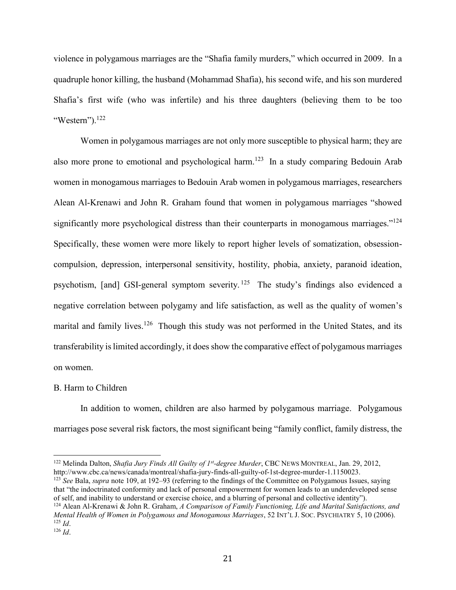violence in polygamous marriages are the "Shafia family murders," which occurred in 2009. In a quadruple honor killing, the husband (Mohammad Shafia), his second wife, and his son murdered Shafia's first wife (who was infertile) and his three daughters (believing them to be too "Western"). $^{122}$ 

<span id="page-21-0"></span>Women in polygamous marriages are not only more susceptible to physical harm; they are also more prone to emotional and psychological harm.<sup>123</sup> In a study comparing Bedouin Arab women in monogamous marriages to Bedouin Arab women in polygamous marriages, researchers Alean Al-Krenawi and John R. Graham found that women in polygamous marriages "showed significantly more psychological distress than their counterparts in monogamous marriages."<sup>124</sup> Specifically, these women were more likely to report higher levels of somatization, obsessioncompulsion, depression, interpersonal sensitivity, hostility, phobia, anxiety, paranoid ideation, psychotism, [and] GSI-general symptom severity.<sup>125</sup> The study's findings also evidenced a negative correlation between polygamy and life satisfaction, as well as the quality of women's marital and family lives.<sup>126</sup> Though this study was not performed in the United States, and its transferability is limited accordingly, it does show the comparative effect of polygamous marriages on women.

# B. Harm to Children

In addition to women, children are also harmed by polygamous marriage. Polygamous marriages pose several risk factors, the most significant being "family conflict, family distress, the

<sup>123</sup> *See* Bala, *supra* note [109,](#page-19-0) at 192–93 (referring to the findings of the Committee on Polygamous Issues, saying that "the indoctrinated conformity and lack of personal empowerment for women leads to an underdeveloped sense of self, and inability to understand or exercise choice, and a blurring of personal and collective identity"). <sup>124</sup> Alean Al-Krenawi & John R. Graham, *A Comparison of Family Functioning, Life and Marital Satisfactions, and Mental Health of Women in Polygamous and Monogamous Marriages*, 52 INT'L J. SOC. PSYCHIATRY 5, 10 (2006). <sup>125</sup> *Id*.

<sup>122</sup> Melinda Dalton, *Shafia Jury Finds All Guilty of 1st -degree Murder*, CBC NEWS MONTREAL, Jan. 29, 2012, http://www.cbc.ca/news/canada/montreal/shafia-jury-finds-all-guilty-of-1st-degree-murder-1.1150023.

<sup>126</sup> *Id*.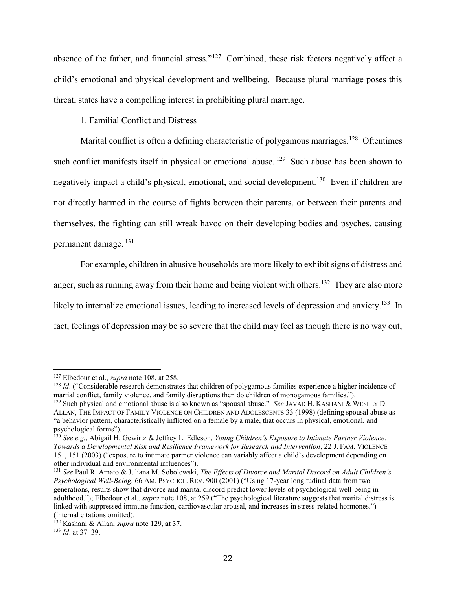absence of the father, and financial stress."<sup>127</sup> Combined, these risk factors negatively affect a child's emotional and physical development and wellbeing. Because plural marriage poses this threat, states have a compelling interest in prohibiting plural marriage.

<span id="page-22-0"></span>1. Familial Conflict and Distress

Marital conflict is often a defining characteristic of polygamous marriages.<sup>128</sup> Oftentimes such conflict manifests itself in physical or emotional abuse.<sup>129</sup> Such abuse has been shown to negatively impact a child's physical, emotional, and social development.<sup>130</sup> Even if children are not directly harmed in the course of fights between their parents, or between their parents and themselves, the fighting can still wreak havoc on their developing bodies and psyches, causing permanent damage. <sup>131</sup>

For example, children in abusive households are more likely to exhibit signs of distress and anger, such as running away from their home and being violent with others.<sup>132</sup> They are also more likely to internalize emotional issues, leading to increased levels of depression and anxiety.<sup>133</sup> In fact, feelings of depression may be so severe that the child may feel as though there is no way out,

<sup>127</sup> Elbedour et al., *supra* note [108,](#page-19-1) at 258.

<sup>&</sup>lt;sup>128</sup> *Id.* ("Considerable research demonstrates that children of polygamous families experience a higher incidence of martial conflict, family violence, and family disruptions then do children of monogamous families.").

<sup>129</sup> Such physical and emotional abuse is also known as "spousal abuse." *See* JAVAD H. KASHANI & WESLEY D. ALLAN, THE IMPACT OF FAMILY VIOLENCE ON CHILDREN AND ADOLESCENTS 33 (1998) (defining spousal abuse as "a behavior pattern, characteristically inflicted on a female by a male, that occurs in physical, emotional, and psychological forms").

<sup>130</sup> *See e.g.*, Abigail H. Gewirtz & Jeffrey L. Edleson, *Young Children's Exposure to Intimate Partner Violence: Towards a Developmental Risk and Resilience Framework for Research and Intervention*, 22 J. FAM. VIOLENCE 151, 151 (2003) ("exposure to intimate partner violence can variably affect a child's development depending on other individual and environmental influences").

<sup>131</sup> *See* Paul R. Amato & Juliana M. Sobolewski, *The Effects of Divorce and Marital Discord on Adult Children's Psychological Well-Being*, 66 AM. PSYCHOL. REV. 900 (2001) ("Using 17-year longitudinal data from two generations, results show that divorce and marital discord predict lower levels of psychological well-being in adulthood."); Elbedour et al., *supra* note [108](#page-19-1), at 259 ("The psychological literature suggests that marital distress is linked with suppressed immune function, cardiovascular arousal, and increases in stress-related hormones.") (internal citations omitted).

<sup>132</sup> Kashani & Allan, *supra* note [129,](#page-22-0) at 37.

<sup>133</sup> *Id*. at 37–39.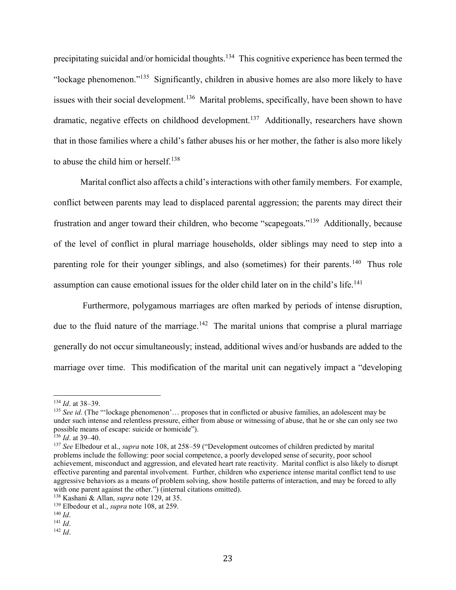precipitating suicidal and/or homicidal thoughts.<sup>134</sup> This cognitive experience has been termed the "lockage phenomenon."<sup>135</sup> Significantly, children in abusive homes are also more likely to have issues with their social development.<sup>136</sup> Marital problems, specifically, have been shown to have dramatic, negative effects on childhood development.<sup>137</sup> Additionally, researchers have shown that in those families where a child's father abuses his or her mother, the father is also more likely to abuse the child him or herself.<sup>138</sup>

Marital conflict also affects a child's interactions with other family members. For example, conflict between parents may lead to displaced parental aggression; the parents may direct their frustration and anger toward their children, who become "scapegoats."<sup>139</sup> Additionally, because of the level of conflict in plural marriage households, older siblings may need to step into a parenting role for their younger siblings, and also (sometimes) for their parents.<sup>140</sup> Thus role assumption can cause emotional issues for the older child later on in the child's life.<sup>141</sup>

Furthermore, polygamous marriages are often marked by periods of intense disruption, due to the fluid nature of the marriage.<sup>142</sup> The marital unions that comprise a plural marriage generally do not occur simultaneously; instead, additional wives and/or husbands are added to the marriage over time. This modification of the marital unit can negatively impact a "developing

 $\overline{a}$ <sup>134</sup> *Id*. at 38–39.

<sup>&</sup>lt;sup>135</sup> *See id.* (The "'lockage phenomenon'... proposes that in conflicted or abusive families, an adolescent may be under such intense and relentless pressure, either from abuse or witnessing of abuse, that he or she can only see two possible means of escape: suicide or homicide").

<sup>136</sup> *Id*. at 39–40.

<sup>137</sup> *See* Elbedour et al., *supra* note [108,](#page-19-1) at 258–59 ("Development outcomes of children predicted by marital problems include the following: poor social competence, a poorly developed sense of security, poor school achievement, misconduct and aggression, and elevated heart rate reactivity. Marital conflict is also likely to disrupt effective parenting and parental involvement. Further, children who experience intense marital conflict tend to use aggressive behaviors as a means of problem solving, show hostile patterns of interaction, and may be forced to ally with one parent against the other.") (internal citations omitted).

<sup>138</sup> Kashani & Allan, *supra* note [129,](#page-22-0) at 35.

<sup>139</sup> Elbedour et al., *supra* note [108,](#page-19-1) at 259.

<sup>140</sup> *Id*.

<sup>141</sup> *Id*.

<sup>142</sup> *Id*.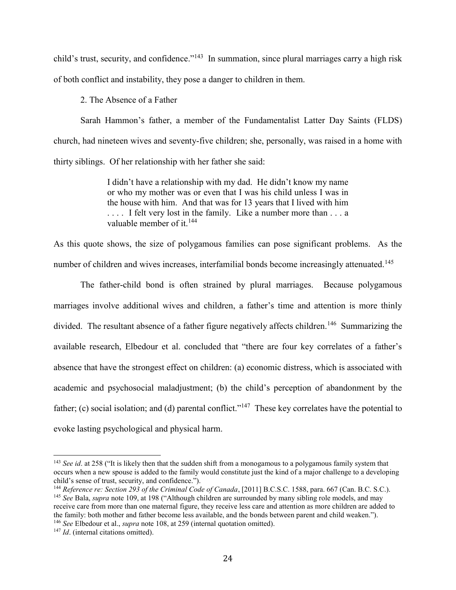child's trust, security, and confidence."<sup>143</sup> In summation, since plural marriages carry a high risk of both conflict and instability, they pose a danger to children in them.

2. The Absence of a Father

Sarah Hammon's father, a member of the Fundamentalist Latter Day Saints (FLDS) church, had nineteen wives and seventy-five children; she, personally, was raised in a home with thirty siblings. Of her relationship with her father she said:

> I didn't have a relationship with my dad. He didn't know my name or who my mother was or even that I was his child unless I was in the house with him. And that was for 13 years that I lived with him .... I felt very lost in the family. Like a number more than ... a valuable member of it  $^{144}$

As this quote shows, the size of polygamous families can pose significant problems. As the number of children and wives increases, interfamilial bonds become increasingly attenuated.<sup>145</sup>

The father-child bond is often strained by plural marriages. Because polygamous marriages involve additional wives and children, a father's time and attention is more thinly divided. The resultant absence of a father figure negatively affects children.<sup>146</sup> Summarizing the available research, Elbedour et al. concluded that "there are four key correlates of a father's absence that have the strongest effect on children: (a) economic distress, which is associated with academic and psychosocial maladjustment; (b) the child's perception of abandonment by the father; (c) social isolation; and (d) parental conflict."<sup>147</sup> These key correlates have the potential to evoke lasting psychological and physical harm.

<sup>143</sup> *See id*. at 258 ("It is likely then that the sudden shift from a monogamous to a polygamous family system that occurs when a new spouse is added to the family would constitute just the kind of a major challenge to a developing child's sense of trust, security, and confidence.").

<sup>144</sup> *Reference re: Section 293 of the Criminal Code of Canada*, [2011] B.C.S.C. 1588, para. 667 (Can. B.C. S.C.). <sup>145</sup> *See* Bala, *supra* note [109,](#page-19-0) at 198 ("Although children are surrounded by many sibling role models, and may receive care from more than one maternal figure, they receive less care and attention as more children are added to the family: both mother and father become less available, and the bonds between parent and child weaken."). <sup>146</sup> *See* Elbedour et al., *supra* note [108,](#page-19-1) at 259 (internal quotation omitted).

<sup>&</sup>lt;sup>147</sup> *Id.* (internal citations omitted).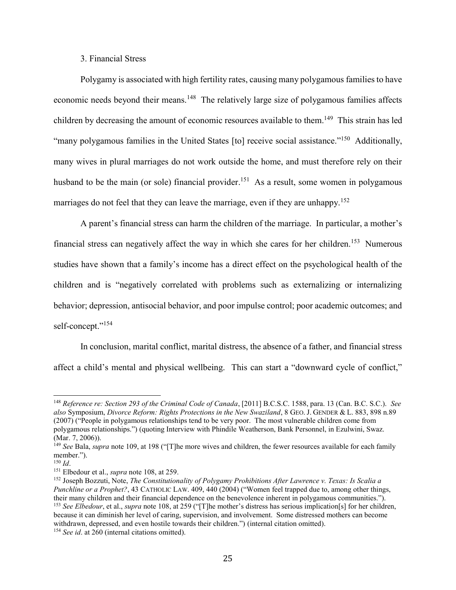# 3. Financial Stress

Polygamy is associated with high fertility rates, causing many polygamous families to have economic needs beyond their means.<sup>148</sup> The relatively large size of polygamous families affects children by decreasing the amount of economic resources available to them.<sup>149</sup> This strain has led "many polygamous families in the United States [to] receive social assistance."<sup>150</sup> Additionally, many wives in plural marriages do not work outside the home, and must therefore rely on their husband to be the main (or sole) financial provider.<sup>151</sup> As a result, some women in polygamous marriages do not feel that they can leave the marriage, even if they are unhappy.<sup>152</sup>

A parent's financial stress can harm the children of the marriage. In particular, a mother's financial stress can negatively affect the way in which she cares for her children.<sup>153</sup> Numerous studies have shown that a family's income has a direct effect on the psychological health of the children and is "negatively correlated with problems such as externalizing or internalizing behavior; depression, antisocial behavior, and poor impulse control; poor academic outcomes; and self-concept."<sup>154</sup>

In conclusion, marital conflict, marital distress, the absence of a father, and financial stress affect a child's mental and physical wellbeing. This can start a "downward cycle of conflict,"

<sup>148</sup> *Reference re: Section 293 of the Criminal Code of Canada*, [2011] B.C.S.C. 1588, para. 13 (Can. B.C. S.C.). *See also* Symposium, *Divorce Reform: Rights Protections in the New Swaziland*, 8 GEO. J. GENDER & L. 883, 898 n.89 (2007) ("People in polygamous relationships tend to be very poor. The most vulnerable children come from polygamous relationships.") (quoting Interview with Phindile Weatherson, Bank Personnel, in Ezulwini, Swaz. (Mar. 7, 2006)).

<sup>&</sup>lt;sup>149</sup> *See* Bala, *supra* note [109](#page-19-0), at 198 ("[T]he more wives and children, the fewer resources available for each family member.").

<sup>150</sup> *Id*.

<sup>151</sup> Elbedour et al., *supra* note [108,](#page-19-1) at 259.

<sup>152</sup> Joseph Bozzuti, Note, *The Constitutionality of Polygamy Prohibitions After Lawrence v. Texas: Is Scalia a Punchline or a Prophet?*, 43 CATHOLIC LAW. 409, 440 (2004) ("Women feel trapped due to, among other things, their many children and their financial dependence on the benevolence inherent in polygamous communities."). <sup>153</sup> *See Elbedour*, et al., *supra* note [108](#page-19-1), at 259 ("[T]he mother's distress has serious implication[s] for her children, because it can diminish her level of caring, supervision, and involvement. Some distressed mothers can become withdrawn, depressed, and even hostile towards their children.") (internal citation omitted). <sup>154</sup> *See id*. at 260 (internal citations omitted).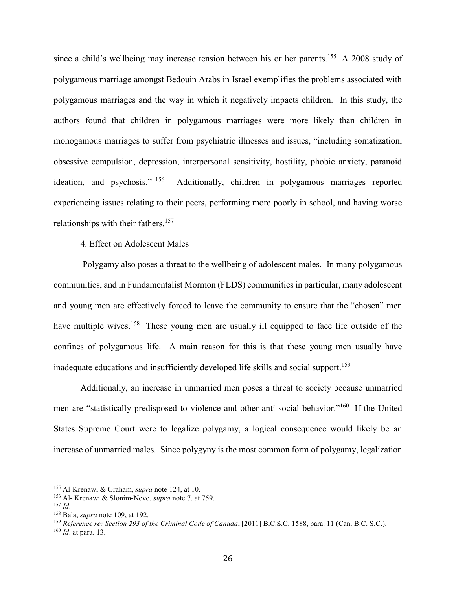since a child's wellbeing may increase tension between his or her parents.<sup>155</sup> A 2008 study of polygamous marriage amongst Bedouin Arabs in Israel exemplifies the problems associated with polygamous marriages and the way in which it negatively impacts children. In this study, the authors found that children in polygamous marriages were more likely than children in monogamous marriages to suffer from psychiatric illnesses and issues, "including somatization, obsessive compulsion, depression, interpersonal sensitivity, hostility, phobic anxiety, paranoid ideation, and psychosis." <sup>156</sup> Additionally, children in polygamous marriages reported experiencing issues relating to their peers, performing more poorly in school, and having worse relationships with their fathers.<sup>157</sup>

4. Effect on Adolescent Males

Polygamy also poses a threat to the wellbeing of adolescent males. In many polygamous communities, and in Fundamentalist Mormon (FLDS) communities in particular, many adolescent and young men are effectively forced to leave the community to ensure that the "chosen" men have multiple wives.<sup>158</sup> These young men are usually ill equipped to face life outside of the confines of polygamous life. A main reason for this is that these young men usually have inadequate educations and insufficiently developed life skills and social support.<sup>159</sup>

Additionally, an increase in unmarried men poses a threat to society because unmarried men are "statistically predisposed to violence and other anti-social behavior."<sup>160</sup> If the United States Supreme Court were to legalize polygamy, a logical consequence would likely be an increase of unmarried males. Since polygyny is the most common form of polygamy, legalization

<sup>155</sup> Al-Krenawi & Graham, *supra* note [124,](#page-21-0) at 10.

<sup>156</sup> Al- Krenawi & Slonim-Nevo, *supra* note [7,](#page-2-0) at 759.

<sup>157</sup> *Id*.

<sup>158</sup> Bala, *supra* not[e 109,](#page-19-0) at 192.

<sup>159</sup> *Reference re: Section 293 of the Criminal Code of Canada*, [2011] B.C.S.C. 1588, para. 11 (Can. B.C. S.C.).

<sup>160</sup> *Id*. at para. 13.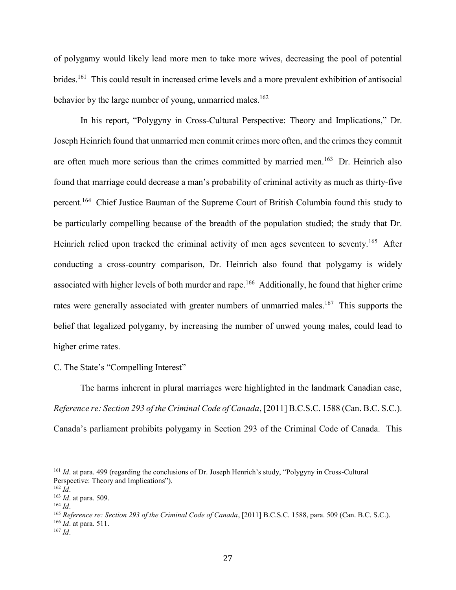of polygamy would likely lead more men to take more wives, decreasing the pool of potential brides.<sup>161</sup> This could result in increased crime levels and a more prevalent exhibition of antisocial behavior by the large number of young, unmarried males.<sup>162</sup>

In his report, "Polygyny in Cross-Cultural Perspective: Theory and Implications," Dr. Joseph Heinrich found that unmarried men commit crimes more often, and the crimes they commit are often much more serious than the crimes committed by married men.<sup>163</sup> Dr. Heinrich also found that marriage could decrease a man's probability of criminal activity as much as thirty-five percent.<sup>164</sup> Chief Justice Bauman of the Supreme Court of British Columbia found this study to be particularly compelling because of the breadth of the population studied; the study that Dr. Heinrich relied upon tracked the criminal activity of men ages seventeen to seventy.<sup>165</sup> After conducting a cross-country comparison, Dr. Heinrich also found that polygamy is widely associated with higher levels of both murder and rape.<sup>166</sup> Additionally, he found that higher crime rates were generally associated with greater numbers of unmarried males.<sup>167</sup> This supports the belief that legalized polygamy, by increasing the number of unwed young males, could lead to higher crime rates.

C. The State's "Compelling Interest"

The harms inherent in plural marriages were highlighted in the landmark Canadian case, *Reference re: Section 293 of the Criminal Code of Canada*, [2011] B.C.S.C. 1588 (Can. B.C. S.C.). Canada's parliament prohibits polygamy in Section 293 of the Criminal Code of Canada. This

l

<sup>165</sup> *Reference re: Section 293 of the Criminal Code of Canada*, [2011] B.C.S.C. 1588, para. 509 (Can. B.C. S.C.).

<sup>166</sup> *Id*. at para. 511.

<sup>161</sup> *Id*. at para. 499 (regarding the conclusions of Dr. Joseph Henrich's study, "Polygyny in Cross-Cultural Perspective: Theory and Implications").

 $^{162}$  *Id*.

<sup>163</sup> *Id*. at para. 509.

<sup>164</sup> *Id*.

<sup>167</sup> *Id*.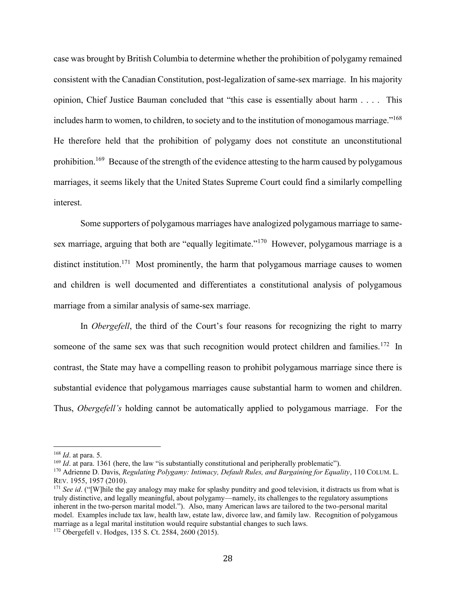case was brought by British Columbia to determine whether the prohibition of polygamy remained consistent with the Canadian Constitution, post-legalization of same-sex marriage. In his majority opinion, Chief Justice Bauman concluded that "this case is essentially about harm . . . . This includes harm to women, to children, to society and to the institution of monogamous marriage."<sup>168</sup> He therefore held that the prohibition of polygamy does not constitute an unconstitutional prohibition.<sup>169</sup> Because of the strength of the evidence attesting to the harm caused by polygamous marriages, it seems likely that the United States Supreme Court could find a similarly compelling interest.

Some supporters of polygamous marriages have analogized polygamous marriage to samesex marriage, arguing that both are "equally legitimate."<sup>170</sup> However, polygamous marriage is a distinct institution.<sup>171</sup> Most prominently, the harm that polygamous marriage causes to women and children is well documented and differentiates a constitutional analysis of polygamous marriage from a similar analysis of same-sex marriage.

In *Obergefell*, the third of the Court's four reasons for recognizing the right to marry someone of the same sex was that such recognition would protect children and families.<sup>172</sup> In contrast, the State may have a compelling reason to prohibit polygamous marriage since there is substantial evidence that polygamous marriages cause substantial harm to women and children. Thus, *Obergefell's* holding cannot be automatically applied to polygamous marriage. For the

<sup>168</sup> *Id*. at para. 5.

<sup>&</sup>lt;sup>169</sup> *Id.* at para. 1361 (here, the law "is substantially constitutional and peripherally problematic").

<sup>170</sup> Adrienne D. Davis, *Regulating Polygamy: Intimacy, Default Rules, and Bargaining for Equality*, 110 COLUM. L. REV. 1955, 1957 (2010).

<sup>&</sup>lt;sup>171</sup> *See id.* ("[W]hile the gay analogy may make for splashy punditry and good television, it distracts us from what is truly distinctive, and legally meaningful, about polygamy—namely, its challenges to the regulatory assumptions inherent in the two-person marital model."). Also, many American laws are tailored to the two-personal marital model. Examples include tax law, health law, estate law, divorce law, and family law. Recognition of polygamous marriage as a legal marital institution would require substantial changes to such laws.

<sup>172</sup> Obergefell v. Hodges, 135 S. Ct. 2584, 2600 (2015).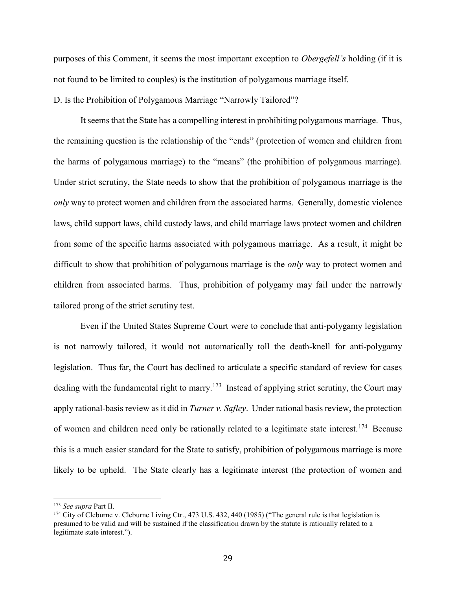purposes of this Comment, it seems the most important exception to *Obergefell's* holding (if it is not found to be limited to couples) is the institution of polygamous marriage itself.

D. Is the Prohibition of Polygamous Marriage "Narrowly Tailored"?

It seems that the State has a compelling interest in prohibiting polygamous marriage. Thus, the remaining question is the relationship of the "ends" (protection of women and children from the harms of polygamous marriage) to the "means" (the prohibition of polygamous marriage). Under strict scrutiny, the State needs to show that the prohibition of polygamous marriage is the *only* way to protect women and children from the associated harms. Generally, domestic violence laws, child support laws, child custody laws, and child marriage laws protect women and children from some of the specific harms associated with polygamous marriage. As a result, it might be difficult to show that prohibition of polygamous marriage is the *only* way to protect women and children from associated harms. Thus, prohibition of polygamy may fail under the narrowly tailored prong of the strict scrutiny test.

Even if the United States Supreme Court were to conclude that anti-polygamy legislation is not narrowly tailored, it would not automatically toll the death-knell for anti-polygamy legislation. Thus far, the Court has declined to articulate a specific standard of review for cases dealing with the fundamental right to marry.<sup>173</sup> Instead of applying strict scrutiny, the Court may apply rational-basis review as it did in *Turner v. Safley*. Under rational basis review, the protection of women and children need only be rationally related to a legitimate state interest.<sup>174</sup> Because this is a much easier standard for the State to satisfy, prohibition of polygamous marriage is more likely to be upheld. The State clearly has a legitimate interest (the protection of women and

<sup>173</sup> *See supra* Part II.

<sup>&</sup>lt;sup>174</sup> City of Cleburne v. Cleburne Living Ctr., 473 U.S. 432, 440 (1985) ("The general rule is that legislation is presumed to be valid and will be sustained if the classification drawn by the statute is rationally related to a legitimate state interest.").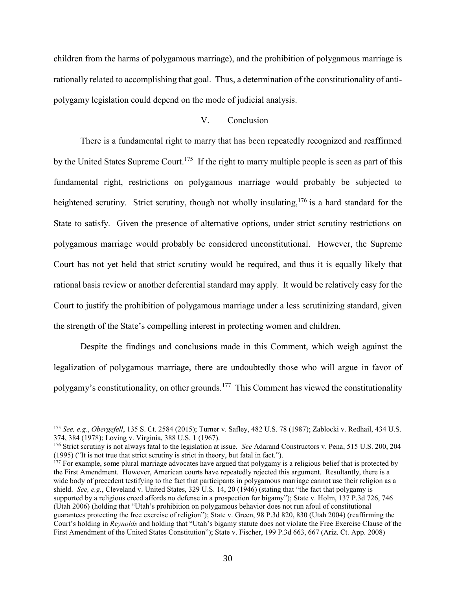children from the harms of polygamous marriage), and the prohibition of polygamous marriage is rationally related to accomplishing that goal. Thus, a determination of the constitutionality of antipolygamy legislation could depend on the mode of judicial analysis.

# V. Conclusion

There is a fundamental right to marry that has been repeatedly recognized and reaffirmed by the United States Supreme Court.<sup>175</sup> If the right to marry multiple people is seen as part of this fundamental right, restrictions on polygamous marriage would probably be subjected to heightened scrutiny. Strict scrutiny, though not wholly insulating,<sup>176</sup> is a hard standard for the State to satisfy. Given the presence of alternative options, under strict scrutiny restrictions on polygamous marriage would probably be considered unconstitutional. However, the Supreme Court has not yet held that strict scrutiny would be required, and thus it is equally likely that rational basis review or another deferential standard may apply. It would be relatively easy for the Court to justify the prohibition of polygamous marriage under a less scrutinizing standard, given the strength of the State's compelling interest in protecting women and children.

Despite the findings and conclusions made in this Comment, which weigh against the legalization of polygamous marriage, there are undoubtedly those who will argue in favor of polygamy's constitutionality, on other grounds.<sup>177</sup> This Comment has viewed the constitutionality

<sup>175</sup> *See, e.g.*, *Obergefell*, 135 S. Ct. 2584 (2015); Turner v. Safley, 482 U.S. 78 (1987); Zablocki v. Redhail, 434 U.S. 374, 384 (1978); Loving v. Virginia, 388 U.S. 1 (1967).

<sup>176</sup> Strict scrutiny is not always fatal to the legislation at issue. *See* Adarand Constructors v. Pena, 515 U.S. 200, 204 (1995) ("It is not true that strict scrutiny is strict in theory, but fatal in fact.").

 $177$  For example, some plural marriage advocates have argued that polygamy is a religious belief that is protected by the First Amendment. However, American courts have repeatedly rejected this argument. Resultantly, there is a wide body of precedent testifying to the fact that participants in polygamous marriage cannot use their religion as a shield. *See, e.g.*, Cleveland v. United States, 329 U.S. 14, 20 (1946) (stating that "the fact that polygamy is supported by a religious creed affords no defense in a prospection for bigamy"); State v. Holm, 137 P.3d 726, 746 (Utah 2006) (holding that "Utah's prohibition on polygamous behavior does not run afoul of constitutional guarantees protecting the free exercise of religion"); State v. Green, 98 P.3d 820, 830 (Utah 2004) (reaffirming the Court's holding in *Reynolds* and holding that "Utah's bigamy statute does not violate the Free Exercise Clause of the First Amendment of the United States Constitution"); State v. Fischer, 199 P.3d 663, 667 (Ariz. Ct. App. 2008)